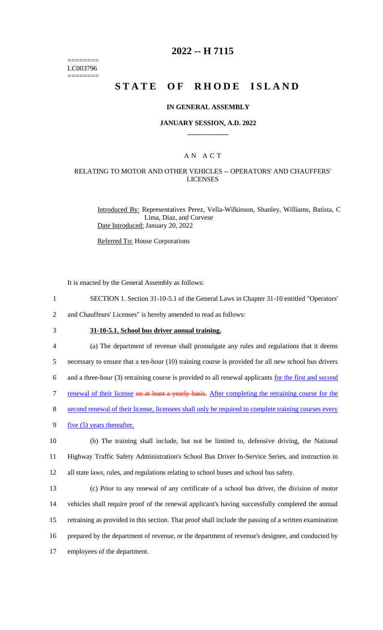======== LC003796 ========

# **2022 -- H 7115**

# **STATE OF RHODE ISLAND**

#### **IN GENERAL ASSEMBLY**

#### **JANUARY SESSION, A.D. 2022 \_\_\_\_\_\_\_\_\_\_\_\_**

## A N A C T

#### RELATING TO MOTOR AND OTHER VEHICLES -- OPERATORS' AND CHAUFFERS' LICENSES

Introduced By: Representatives Perez, Vella-Wilkinson, Shanley, Williams, Batista, C Lima, Diaz, and Corvese Date Introduced: January 20, 2022

Referred To: House Corporations

It is enacted by the General Assembly as follows:

1 SECTION 1. Section 31-10-5.1 of the General Laws in Chapter 31-10 entitled "Operators'

2 and Chauffeurs' Licenses" is hereby amended to read as follows:

## 3 **31-10-5.1. School bus driver annual training.**

4 (a) The department of revenue shall promulgate any rules and regulations that it deems

5 necessary to ensure that a ten-hour (10) training course is provided for all new school bus drivers

6 and a three-hour (3) retraining course is provided to all renewal applicants for the first and second

7 renewal of their license on at least a yearly basis. After completing the retraining course for the

8 second renewal of their license, licensees shall only be required to complete training courses every

9 <u>five (5)</u> years thereafter.

10 (b) The training shall include, but not be limited to, defensive driving, the National 11 Highway Traffic Safety Administration's School Bus Driver In-Service Series, and instruction in 12 all state laws, rules, and regulations relating to school buses and school bus safety.

 (c) Prior to any renewal of any certificate of a school bus driver, the division of motor vehicles shall require proof of the renewal applicant's having successfully completed the annual retraining as provided in this section. That proof shall include the passing of a written examination prepared by the department of revenue, or the department of revenue's designee, and conducted by employees of the department.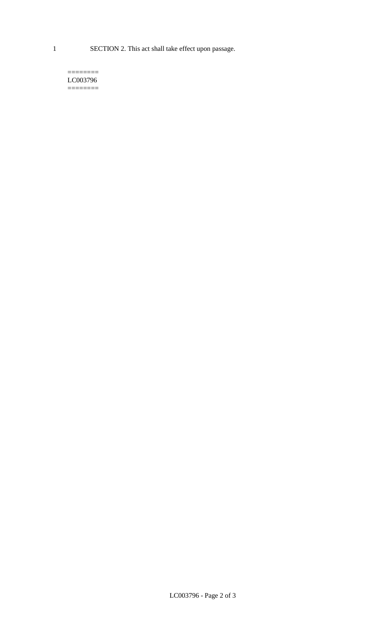1 SECTION 2. This act shall take effect upon passage.

 $=$ LC003796  $=$